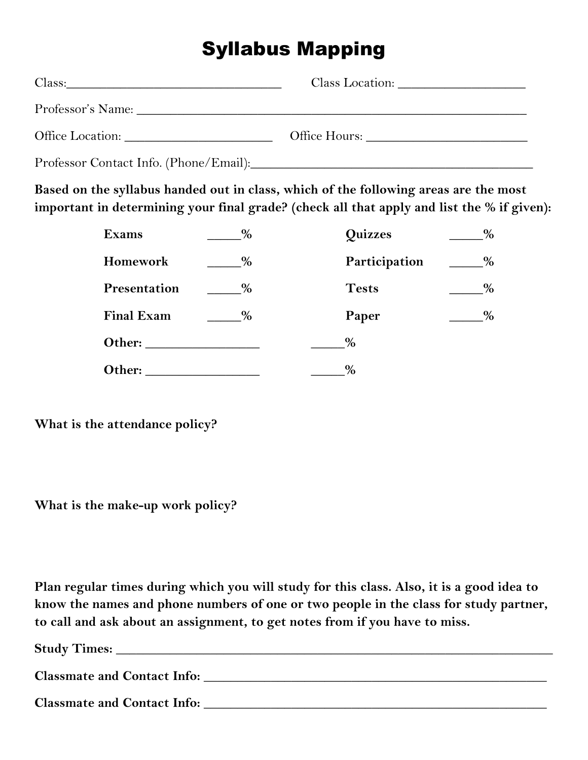## Syllabus Mapping

| Class: |  |
|--------|--|
|        |  |
|        |  |
|        |  |

**Based on the syllabus handed out in class, which of the following areas are the most important in determining your final grade? (check all that apply and list the % if given):**

| <b>Exams</b>      | $\%$ | Quizzes       | $\%$ |
|-------------------|------|---------------|------|
| Homework          | $\%$ | Participation | %    |
| Presentation      | %    | <b>Tests</b>  | %    |
| <b>Final Exam</b> | $\%$ | Paper         | %    |
| Other:            |      | $\%$          |      |
| Other:            |      | $\%$          |      |

**What is the attendance policy?**

**What is the make-up work policy?**

**Plan regular times during which you will study for this class. Also, it is a good idea to know the names and phone numbers of one or two people in the class for study partner, to call and ask about an assignment, to get notes from if you have to miss.** 

| <b>Study Times:</b>                |
|------------------------------------|
|                                    |
| <b>Classmate and Contact Info:</b> |
|                                    |
| <b>Classmate and Contact Info:</b> |